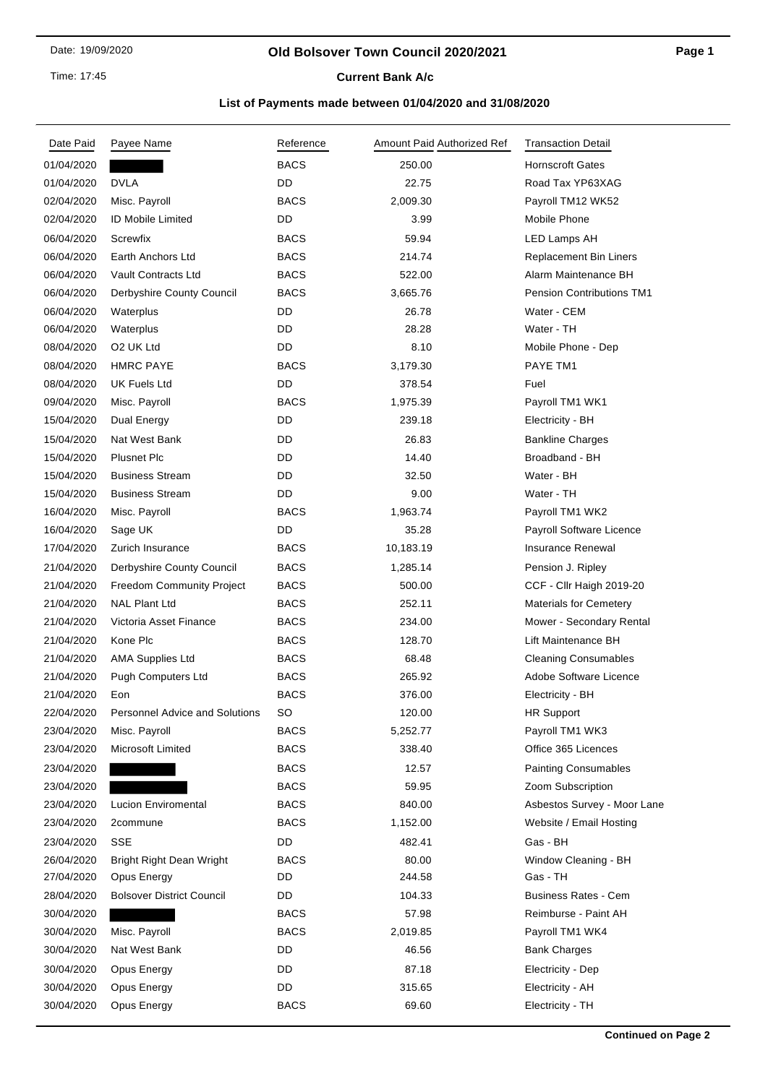Time: 17:45

#### **Old Bolsover Town Council 2020/2021**

## **Current Bank A/c**

| Date Paid  | Payee Name                       | Reference   | Amount Paid Authorized Ref | <b>Transaction Detail</b>        |
|------------|----------------------------------|-------------|----------------------------|----------------------------------|
| 01/04/2020 |                                  | <b>BACS</b> | 250.00                     | <b>Hornscroft Gates</b>          |
| 01/04/2020 | <b>DVLA</b>                      | DD          | 22.75                      | Road Tax YP63XAG                 |
| 02/04/2020 | Misc. Payroll                    | <b>BACS</b> | 2,009.30                   | Payroll TM12 WK52                |
| 02/04/2020 | <b>ID Mobile Limited</b>         | DD          | 3.99                       | Mobile Phone                     |
| 06/04/2020 | Screwfix                         | <b>BACS</b> | 59.94                      | LED Lamps AH                     |
| 06/04/2020 | Earth Anchors Ltd                | <b>BACS</b> | 214.74                     | <b>Replacement Bin Liners</b>    |
| 06/04/2020 | Vault Contracts Ltd              | <b>BACS</b> | 522.00                     | Alarm Maintenance BH             |
| 06/04/2020 | Derbyshire County Council        | <b>BACS</b> | 3,665.76                   | <b>Pension Contributions TM1</b> |
| 06/04/2020 | Waterplus                        | DD          | 26.78                      | Water - CEM                      |
| 06/04/2020 | Waterplus                        | DD          | 28.28                      | Water - TH                       |
| 08/04/2020 | O <sub>2</sub> UK Ltd            | DD          | 8.10                       | Mobile Phone - Dep               |
| 08/04/2020 | <b>HMRC PAYE</b>                 | <b>BACS</b> | 3,179.30                   | PAYE TM1                         |
| 08/04/2020 | <b>UK Fuels Ltd</b>              | DD          | 378.54                     | Fuel                             |
| 09/04/2020 | Misc. Payroll                    | <b>BACS</b> | 1,975.39                   | Payroll TM1 WK1                  |
| 15/04/2020 | Dual Energy                      | DD          | 239.18                     | Electricity - BH                 |
| 15/04/2020 | Nat West Bank                    | DD          | 26.83                      | <b>Bankline Charges</b>          |
| 15/04/2020 | <b>Plusnet Plc</b>               | DD          | 14.40                      | Broadband - BH                   |
| 15/04/2020 | <b>Business Stream</b>           | DD.         | 32.50                      | Water - BH                       |
| 15/04/2020 | <b>Business Stream</b>           | DD          | 9.00                       | Water - TH                       |
| 16/04/2020 | Misc. Payroll                    | <b>BACS</b> | 1,963.74                   | Payroll TM1 WK2                  |
| 16/04/2020 | Sage UK                          | DD          | 35.28                      | Payroll Software Licence         |
| 17/04/2020 | Zurich Insurance                 | <b>BACS</b> | 10,183.19                  | <b>Insurance Renewal</b>         |
| 21/04/2020 | Derbyshire County Council        | <b>BACS</b> | 1,285.14                   | Pension J. Ripley                |
| 21/04/2020 | Freedom Community Project        | <b>BACS</b> | 500.00                     | CCF - Cllr Haigh 2019-20         |
| 21/04/2020 | <b>NAL Plant Ltd</b>             | <b>BACS</b> | 252.11                     | <b>Materials for Cemetery</b>    |
| 21/04/2020 | Victoria Asset Finance           | <b>BACS</b> | 234.00                     | Mower - Secondary Rental         |
| 21/04/2020 | Kone Plc                         | <b>BACS</b> | 128.70                     | Lift Maintenance BH              |
| 21/04/2020 | <b>AMA Supplies Ltd</b>          | <b>BACS</b> | 68.48                      | <b>Cleaning Consumables</b>      |
| 21/04/2020 | Pugh Computers Ltd               | <b>BACS</b> | 265.92                     | Adobe Software Licence           |
| 21/04/2020 | Eon                              | <b>BACS</b> | 376.00                     | Electricity - BH                 |
| 22/04/2020 | Personnel Advice and Solutions   | SO          | 120.00                     | <b>HR Support</b>                |
| 23/04/2020 | Misc. Payroll                    | <b>BACS</b> | 5,252.77                   | Payroll TM1 WK3                  |
| 23/04/2020 | Microsoft Limited                | <b>BACS</b> | 338.40                     | Office 365 Licences              |
| 23/04/2020 |                                  | <b>BACS</b> | 12.57                      | <b>Painting Consumables</b>      |
| 23/04/2020 |                                  | <b>BACS</b> | 59.95                      | Zoom Subscription                |
| 23/04/2020 | Lucion Enviromental              | <b>BACS</b> | 840.00                     | Asbestos Survey - Moor Lane      |
| 23/04/2020 | 2commune                         | <b>BACS</b> | 1,152.00                   | Website / Email Hosting          |
| 23/04/2020 | SSE                              | DD          | 482.41                     | Gas - BH                         |
| 26/04/2020 | <b>Bright Right Dean Wright</b>  | <b>BACS</b> | 80.00                      | Window Cleaning - BH             |
| 27/04/2020 | Opus Energy                      | DD          | 244.58                     | Gas - TH                         |
| 28/04/2020 | <b>Bolsover District Council</b> | DD          | 104.33                     | <b>Business Rates - Cem</b>      |
| 30/04/2020 |                                  | <b>BACS</b> | 57.98                      | Reimburse - Paint AH             |
| 30/04/2020 | Misc. Payroll                    | BACS        | 2,019.85                   | Payroll TM1 WK4                  |
| 30/04/2020 | Nat West Bank                    | DD          | 46.56                      | <b>Bank Charges</b>              |
| 30/04/2020 | Opus Energy                      | DD          | 87.18                      | Electricity - Dep                |
| 30/04/2020 | Opus Energy                      | DD          | 315.65                     | Electricity - AH                 |
| 30/04/2020 | Opus Energy                      | BACS        | 69.60                      | Electricity - TH                 |
|            |                                  |             |                            |                                  |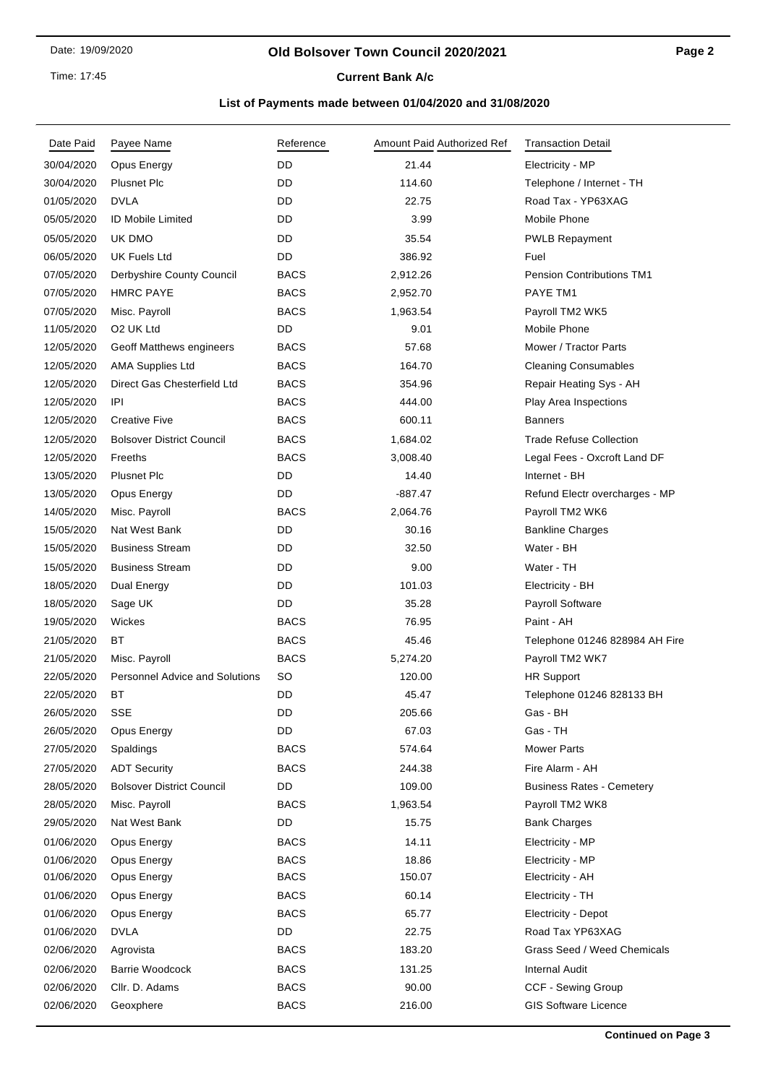Time: 17:45

## **Current Bank A/c**

| Date Paid  | Payee Name                            | Reference   | Amount Paid Authorized Ref | <b>Transaction Detail</b>        |
|------------|---------------------------------------|-------------|----------------------------|----------------------------------|
| 30/04/2020 | Opus Energy                           | DD          | 21.44                      | Electricity - MP                 |
| 30/04/2020 | <b>Plusnet Plc</b>                    | DD          | 114.60                     | Telephone / Internet - TH        |
| 01/05/2020 | <b>DVLA</b>                           | DD          | 22.75                      | Road Tax - YP63XAG               |
| 05/05/2020 | ID Mobile Limited                     | DD          | 3.99                       | Mobile Phone                     |
| 05/05/2020 | UK DMO                                | DD          | 35.54                      | <b>PWLB Repayment</b>            |
| 06/05/2020 | <b>UK Fuels Ltd</b>                   | DD          | 386.92                     | Fuel                             |
| 07/05/2020 | Derbyshire County Council             | <b>BACS</b> | 2,912.26                   | Pension Contributions TM1        |
| 07/05/2020 | <b>HMRC PAYE</b>                      | <b>BACS</b> | 2,952.70                   | PAYE TM1                         |
| 07/05/2020 | Misc. Payroll                         | <b>BACS</b> | 1,963.54                   | Payroll TM2 WK5                  |
| 11/05/2020 | O2 UK Ltd                             | <b>DD</b>   | 9.01                       | Mobile Phone                     |
| 12/05/2020 | Geoff Matthews engineers              | <b>BACS</b> | 57.68                      | Mower / Tractor Parts            |
| 12/05/2020 | <b>AMA Supplies Ltd</b>               | <b>BACS</b> | 164.70                     | <b>Cleaning Consumables</b>      |
| 12/05/2020 | Direct Gas Chesterfield Ltd           | <b>BACS</b> | 354.96                     | Repair Heating Sys - AH          |
| 12/05/2020 | IPI                                   | <b>BACS</b> | 444.00                     | Play Area Inspections            |
| 12/05/2020 | <b>Creative Five</b>                  | <b>BACS</b> | 600.11                     | <b>Banners</b>                   |
| 12/05/2020 | <b>Bolsover District Council</b>      | <b>BACS</b> | 1,684.02                   | <b>Trade Refuse Collection</b>   |
| 12/05/2020 | Freeths                               | <b>BACS</b> | 3,008.40                   | Legal Fees - Oxcroft Land DF     |
| 13/05/2020 | <b>Plusnet Plc</b>                    | <b>DD</b>   | 14.40                      | Internet - BH                    |
| 13/05/2020 | Opus Energy                           | DD          | $-887.47$                  | Refund Electr overcharges - MP   |
| 14/05/2020 | Misc. Payroll                         | <b>BACS</b> | 2,064.76                   | Payroll TM2 WK6                  |
| 15/05/2020 | Nat West Bank                         | DD          | 30.16                      | <b>Bankline Charges</b>          |
| 15/05/2020 | <b>Business Stream</b>                | DD          | 32.50                      | Water - BH                       |
| 15/05/2020 | <b>Business Stream</b>                | DD          | 9.00                       | Water - TH                       |
| 18/05/2020 | Dual Energy                           | DD          | 101.03                     | Electricity - BH                 |
| 18/05/2020 | Sage UK                               | DD          | 35.28                      | Payroll Software                 |
| 19/05/2020 | Wickes                                | <b>BACS</b> | 76.95                      | Paint - AH                       |
| 21/05/2020 | ВT                                    | <b>BACS</b> | 45.46                      | Telephone 01246 828984 AH Fire   |
| 21/05/2020 | Misc. Payroll                         | <b>BACS</b> | 5,274.20                   | Payroll TM2 WK7                  |
| 22/05/2020 | <b>Personnel Advice and Solutions</b> | <b>SO</b>   | 120.00                     | <b>HR Support</b>                |
| 22/05/2020 | ВT                                    | DD          | 45.47                      | Telephone 01246 828133 BH        |
| 26/05/2020 | <b>SSE</b>                            | DD          | 205.66                     | Gas - BH                         |
| 26/05/2020 | Opus Energy                           | <b>DD</b>   | 67.03                      | Gas - TH                         |
| 27/05/2020 | Spaldings                             | <b>BACS</b> | 574.64                     | <b>Mower Parts</b>               |
| 27/05/2020 | <b>ADT Security</b>                   | <b>BACS</b> | 244.38                     | Fire Alarm - AH                  |
| 28/05/2020 | <b>Bolsover District Council</b>      | DD          | 109.00                     | <b>Business Rates - Cemetery</b> |
| 28/05/2020 | Misc. Payroll                         | <b>BACS</b> | 1,963.54                   | Payroll TM2 WK8                  |
| 29/05/2020 | Nat West Bank                         | DD          | 15.75                      | <b>Bank Charges</b>              |
| 01/06/2020 | Opus Energy                           | <b>BACS</b> | 14.11                      | Electricity - MP                 |
| 01/06/2020 | Opus Energy                           | <b>BACS</b> | 18.86                      | Electricity - MP                 |
| 01/06/2020 | Opus Energy                           | <b>BACS</b> | 150.07                     | Electricity - AH                 |
| 01/06/2020 | Opus Energy                           | <b>BACS</b> | 60.14                      | Electricity - TH                 |
| 01/06/2020 | Opus Energy                           | <b>BACS</b> | 65.77                      | Electricity - Depot              |
| 01/06/2020 | <b>DVLA</b>                           | <b>DD</b>   | 22.75                      | Road Tax YP63XAG                 |
| 02/06/2020 | Agrovista                             | <b>BACS</b> | 183.20                     | Grass Seed / Weed Chemicals      |
| 02/06/2020 | <b>Barrie Woodcock</b>                | <b>BACS</b> | 131.25                     | Internal Audit                   |
| 02/06/2020 | Cllr. D. Adams                        | <b>BACS</b> | 90.00                      | CCF - Sewing Group               |
| 02/06/2020 | Geoxphere                             | <b>BACS</b> | 216.00                     | <b>GIS Software Licence</b>      |
|            |                                       |             |                            |                                  |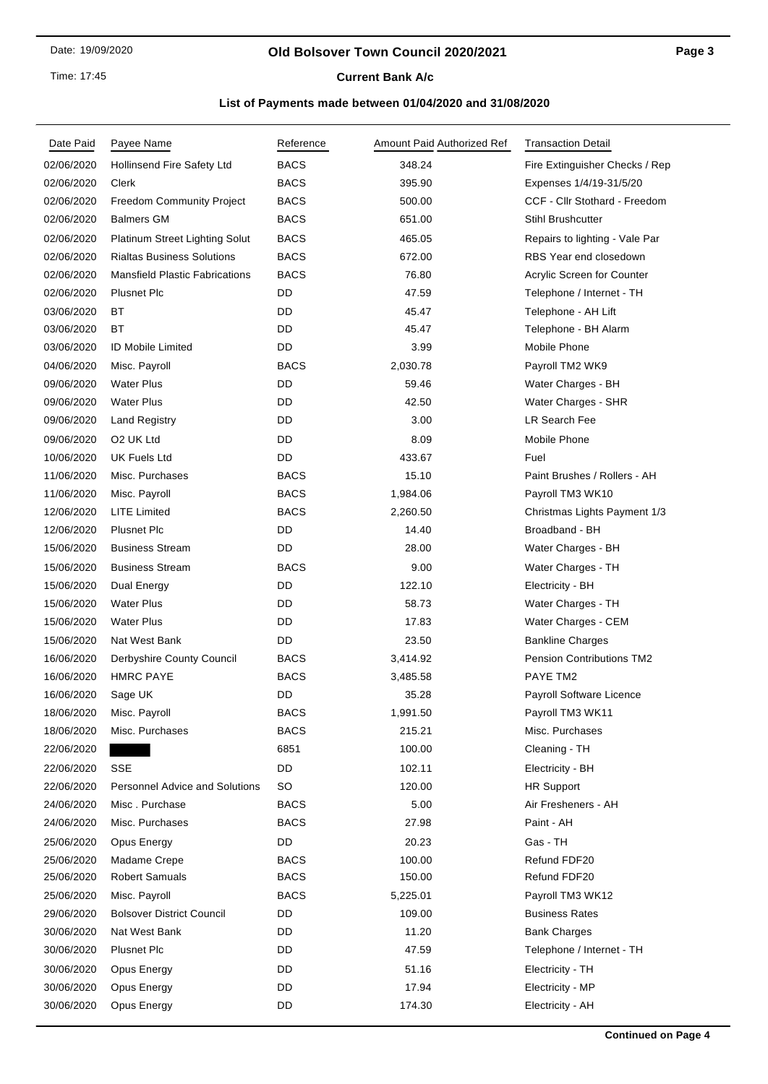## Time: 17:45

# **Current Bank A/c**

| Date Paid  | Payee Name                            | Reference   | Amount Paid Authorized Ref | <b>Transaction Detail</b>        |
|------------|---------------------------------------|-------------|----------------------------|----------------------------------|
| 02/06/2020 | Hollinsend Fire Safety Ltd            | <b>BACS</b> | 348.24                     | Fire Extinguisher Checks / Rep   |
| 02/06/2020 | Clerk                                 | <b>BACS</b> | 395.90                     | Expenses 1/4/19-31/5/20          |
| 02/06/2020 | <b>Freedom Community Project</b>      | <b>BACS</b> | 500.00                     | CCF - Cllr Stothard - Freedom    |
| 02/06/2020 | <b>Balmers GM</b>                     | <b>BACS</b> | 651.00                     | <b>Stihl Brushcutter</b>         |
| 02/06/2020 | Platinum Street Lighting Solut        | <b>BACS</b> | 465.05                     | Repairs to lighting - Vale Par   |
| 02/06/2020 | <b>Rialtas Business Solutions</b>     | <b>BACS</b> | 672.00                     | RBS Year end closedown           |
| 02/06/2020 | <b>Mansfield Plastic Fabrications</b> | <b>BACS</b> | 76.80                      | Acrylic Screen for Counter       |
| 02/06/2020 | <b>Plusnet Plc</b>                    | DD          | 47.59                      | Telephone / Internet - TH        |
| 03/06/2020 | ВT                                    | DD          | 45.47                      | Telephone - AH Lift              |
| 03/06/2020 | ВT                                    | DD          | 45.47                      | Telephone - BH Alarm             |
| 03/06/2020 | <b>ID Mobile Limited</b>              | DD          | 3.99                       | Mobile Phone                     |
| 04/06/2020 | Misc. Payroll                         | <b>BACS</b> | 2,030.78                   | Payroll TM2 WK9                  |
| 09/06/2020 | <b>Water Plus</b>                     | DD          | 59.46                      | Water Charges - BH               |
| 09/06/2020 | <b>Water Plus</b>                     | DD          | 42.50                      | Water Charges - SHR              |
| 09/06/2020 | <b>Land Registry</b>                  | DD          | 3.00                       | LR Search Fee                    |
| 09/06/2020 | O <sub>2</sub> UK Ltd                 | DD          | 8.09                       | Mobile Phone                     |
| 10/06/2020 | <b>UK Fuels Ltd</b>                   | DD          | 433.67                     | Fuel                             |
| 11/06/2020 | Misc. Purchases                       | <b>BACS</b> | 15.10                      | Paint Brushes / Rollers - AH     |
| 11/06/2020 | Misc. Payroll                         | <b>BACS</b> | 1,984.06                   | Payroll TM3 WK10                 |
| 12/06/2020 | <b>LITE Limited</b>                   | <b>BACS</b> | 2,260.50                   | Christmas Lights Payment 1/3     |
| 12/06/2020 | <b>Plusnet Plc</b>                    | DD          | 14.40                      | Broadband - BH                   |
| 15/06/2020 | <b>Business Stream</b>                | DD          | 28.00                      | Water Charges - BH               |
| 15/06/2020 | <b>Business Stream</b>                | <b>BACS</b> | 9.00                       | Water Charges - TH               |
| 15/06/2020 | Dual Energy                           | DD          | 122.10                     | Electricity - BH                 |
| 15/06/2020 | <b>Water Plus</b>                     | DD          | 58.73                      | Water Charges - TH               |
| 15/06/2020 | <b>Water Plus</b>                     | DD          | 17.83                      | Water Charges - CEM              |
| 15/06/2020 | Nat West Bank                         | DD          | 23.50                      | <b>Bankline Charges</b>          |
| 16/06/2020 | Derbyshire County Council             | <b>BACS</b> | 3,414.92                   | <b>Pension Contributions TM2</b> |
| 16/06/2020 | <b>HMRC PAYE</b>                      | <b>BACS</b> | 3,485.58                   | PAYE TM2                         |
| 16/06/2020 | Sage UK                               | DD          | 35.28                      | Payroll Software Licence         |
| 18/06/2020 | Misc. Payroll                         | BACS        | 1,991.50                   | Payroll TM3 WK11                 |
| 18/06/2020 | Misc. Purchases                       | <b>BACS</b> | 215.21                     | Misc. Purchases                  |
| 22/06/2020 |                                       | 6851        | 100.00                     | Cleaning - TH                    |
| 22/06/2020 | SSE                                   | DD          | 102.11                     | Electricity - BH                 |
| 22/06/2020 | <b>Personnel Advice and Solutions</b> | SO.         | 120.00                     | <b>HR Support</b>                |
| 24/06/2020 | Misc. Purchase                        | <b>BACS</b> | 5.00                       | Air Fresheners - AH              |
| 24/06/2020 | Misc. Purchases                       | <b>BACS</b> | 27.98                      | Paint - AH                       |
| 25/06/2020 | Opus Energy                           | DD          | 20.23                      | Gas - TH                         |
| 25/06/2020 | Madame Crepe                          | <b>BACS</b> | 100.00                     | Refund FDF20                     |
| 25/06/2020 | <b>Robert Samuals</b>                 | <b>BACS</b> | 150.00                     | Refund FDF20                     |
| 25/06/2020 | Misc. Payroll                         | <b>BACS</b> | 5,225.01                   | Payroll TM3 WK12                 |
| 29/06/2020 | <b>Bolsover District Council</b>      | DD          | 109.00                     | <b>Business Rates</b>            |
| 30/06/2020 | Nat West Bank                         | DD          | 11.20                      | <b>Bank Charges</b>              |
| 30/06/2020 | <b>Plusnet Plc</b>                    | DD          | 47.59                      | Telephone / Internet - TH        |
| 30/06/2020 | Opus Energy                           | DD          | 51.16                      | Electricity - TH                 |
| 30/06/2020 | Opus Energy                           | DD          | 17.94                      | Electricity - MP                 |
| 30/06/2020 | Opus Energy                           | DD          | 174.30                     | Electricity - AH                 |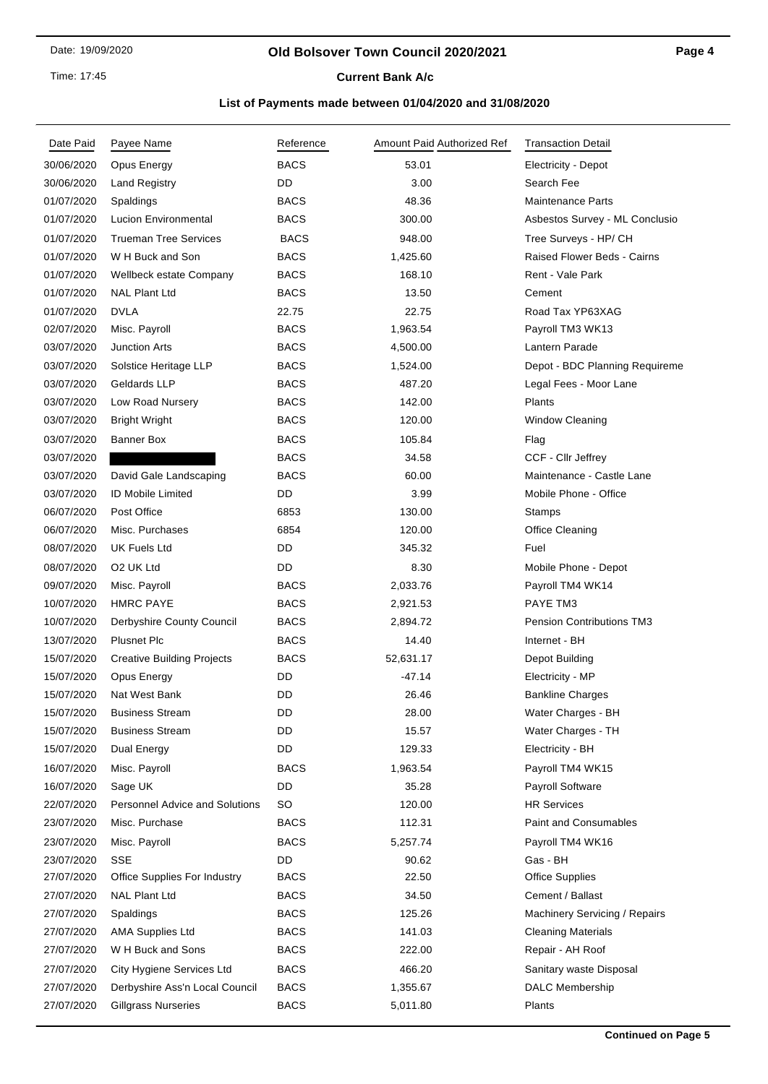Time: 17:45

# **Current Bank A/c**

| Date Paid  | Payee Name                            | Reference   | Amount Paid Authorized Ref | <b>Transaction Detail</b>        |
|------------|---------------------------------------|-------------|----------------------------|----------------------------------|
| 30/06/2020 | Opus Energy                           | <b>BACS</b> | 53.01                      | Electricity - Depot              |
| 30/06/2020 | <b>Land Registry</b>                  | DD          | 3.00                       | Search Fee                       |
| 01/07/2020 | Spaldings                             | <b>BACS</b> | 48.36                      | <b>Maintenance Parts</b>         |
| 01/07/2020 | <b>Lucion Environmental</b>           | <b>BACS</b> | 300.00                     | Asbestos Survey - ML Conclusio   |
| 01/07/2020 | <b>Trueman Tree Services</b>          | <b>BACS</b> | 948.00                     | Tree Surveys - HP/ CH            |
| 01/07/2020 | W H Buck and Son                      | <b>BACS</b> | 1,425.60                   | Raised Flower Beds - Cairns      |
| 01/07/2020 | Wellbeck estate Company               | <b>BACS</b> | 168.10                     | Rent - Vale Park                 |
| 01/07/2020 | <b>NAL Plant Ltd</b>                  | <b>BACS</b> | 13.50                      | Cement                           |
| 01/07/2020 | <b>DVLA</b>                           | 22.75       | 22.75                      | Road Tax YP63XAG                 |
| 02/07/2020 | Misc. Payroll                         | <b>BACS</b> | 1,963.54                   | Payroll TM3 WK13                 |
| 03/07/2020 | <b>Junction Arts</b>                  | <b>BACS</b> | 4,500.00                   | Lantern Parade                   |
| 03/07/2020 | Solstice Heritage LLP                 | <b>BACS</b> | 1,524.00                   | Depot - BDC Planning Requireme   |
| 03/07/2020 | Geldards LLP                          | <b>BACS</b> | 487.20                     | Legal Fees - Moor Lane           |
| 03/07/2020 | Low Road Nursery                      | <b>BACS</b> | 142.00                     | Plants                           |
| 03/07/2020 | <b>Bright Wright</b>                  | <b>BACS</b> | 120.00                     | Window Cleaning                  |
| 03/07/2020 | Banner Box                            | <b>BACS</b> | 105.84                     | Flag                             |
| 03/07/2020 |                                       | <b>BACS</b> | 34.58                      | CCF - Cllr Jeffrey               |
| 03/07/2020 | David Gale Landscaping                | <b>BACS</b> | 60.00                      | Maintenance - Castle Lane        |
| 03/07/2020 | <b>ID Mobile Limited</b>              | DD          | 3.99                       | Mobile Phone - Office            |
| 06/07/2020 | Post Office                           | 6853        | 130.00                     | <b>Stamps</b>                    |
| 06/07/2020 | Misc. Purchases                       | 6854        | 120.00                     | Office Cleaning                  |
| 08/07/2020 | UK Fuels Ltd                          | DD          | 345.32                     | Fuel                             |
| 08/07/2020 | O <sub>2</sub> UK Ltd                 | DD          | 8.30                       | Mobile Phone - Depot             |
| 09/07/2020 | Misc. Payroll                         | <b>BACS</b> | 2,033.76                   | Payroll TM4 WK14                 |
| 10/07/2020 | <b>HMRC PAYE</b>                      | <b>BACS</b> | 2,921.53                   | PAYE TM3                         |
| 10/07/2020 | Derbyshire County Council             | <b>BACS</b> | 2,894.72                   | <b>Pension Contributions TM3</b> |
| 13/07/2020 | <b>Plusnet Plc</b>                    | <b>BACS</b> | 14.40                      | Internet - BH                    |
| 15/07/2020 | <b>Creative Building Projects</b>     | <b>BACS</b> | 52,631.17                  | Depot Building                   |
| 15/07/2020 | Opus Energy                           | DD          | $-47.14$                   | Electricity - MP                 |
| 15/07/2020 | Nat West Bank                         | DD          | 26.46                      | <b>Bankline Charges</b>          |
| 15/07/2020 | <b>Business Stream</b>                | DD          | 28.00                      | Water Charges - BH               |
| 15/07/2020 | <b>Business Stream</b>                | DD          | 15.57                      | Water Charges - TH               |
| 15/07/2020 | Dual Energy                           | DD          | 129.33                     | Electricity - BH                 |
| 16/07/2020 | Misc. Payroll                         | <b>BACS</b> | 1,963.54                   | Payroll TM4 WK15                 |
| 16/07/2020 | Sage UK                               | DD          | 35.28                      | Payroll Software                 |
| 22/07/2020 | <b>Personnel Advice and Solutions</b> | SO          | 120.00                     | <b>HR Services</b>               |
| 23/07/2020 | Misc. Purchase                        | <b>BACS</b> | 112.31                     | <b>Paint and Consumables</b>     |
| 23/07/2020 | Misc. Payroll                         | <b>BACS</b> | 5,257.74                   | Payroll TM4 WK16                 |
| 23/07/2020 | SSE                                   | DD          | 90.62                      | Gas - BH                         |
| 27/07/2020 | <b>Office Supplies For Industry</b>   | <b>BACS</b> | 22.50                      | <b>Office Supplies</b>           |
| 27/07/2020 | <b>NAL Plant Ltd</b>                  | <b>BACS</b> | 34.50                      | Cement / Ballast                 |
| 27/07/2020 | Spaldings                             | <b>BACS</b> | 125.26                     | Machinery Servicing / Repairs    |
| 27/07/2020 | <b>AMA Supplies Ltd</b>               | <b>BACS</b> | 141.03                     | <b>Cleaning Materials</b>        |
| 27/07/2020 | W H Buck and Sons                     | <b>BACS</b> | 222.00                     | Repair - AH Roof                 |
| 27/07/2020 | City Hygiene Services Ltd             | <b>BACS</b> | 466.20                     | Sanitary waste Disposal          |
| 27/07/2020 | Derbyshire Ass'n Local Council        | <b>BACS</b> | 1,355.67                   | <b>DALC Membership</b>           |
| 27/07/2020 | <b>Gillgrass Nurseries</b>            | <b>BACS</b> | 5,011.80                   | Plants                           |
|            |                                       |             |                            |                                  |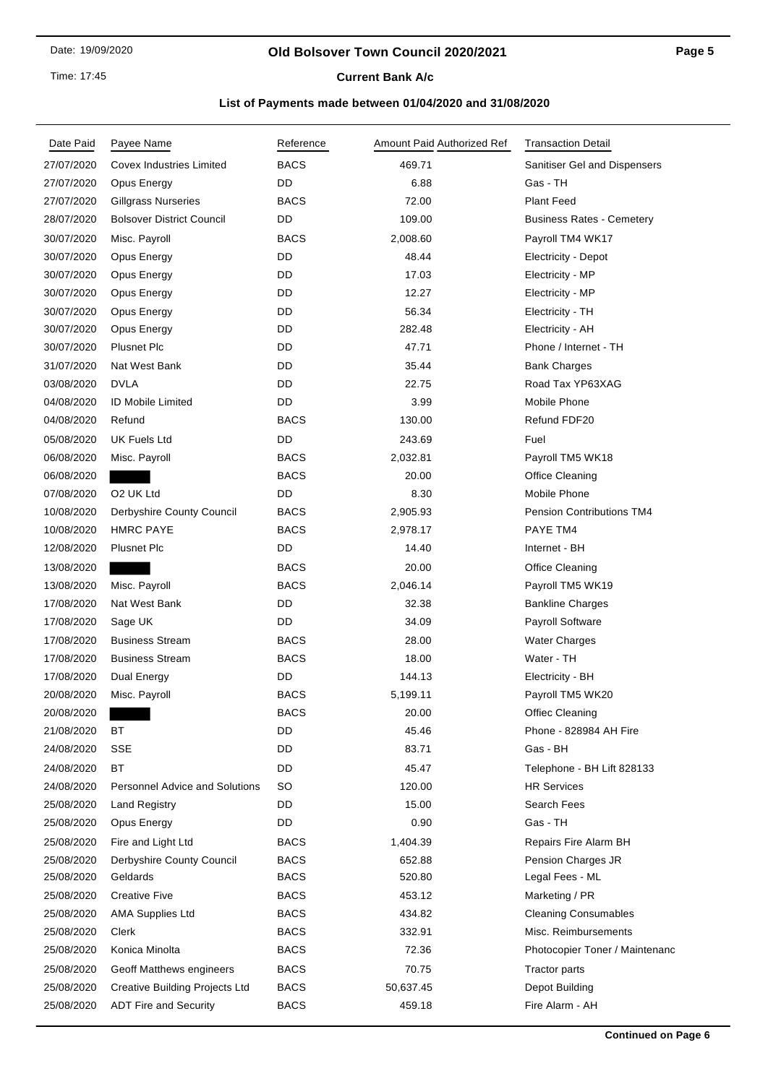Time: 17:45

# **Current Bank A/c**

| Date Paid  | Payee Name                            | Reference   | Amount Paid Authorized Ref | <b>Transaction Detail</b>        |
|------------|---------------------------------------|-------------|----------------------------|----------------------------------|
| 27/07/2020 | <b>Covex Industries Limited</b>       | <b>BACS</b> | 469.71                     | Sanitiser Gel and Dispensers     |
| 27/07/2020 | Opus Energy                           | DD          | 6.88                       | Gas - TH                         |
| 27/07/2020 | <b>Gillgrass Nurseries</b>            | <b>BACS</b> | 72.00                      | <b>Plant Feed</b>                |
| 28/07/2020 | <b>Bolsover District Council</b>      | DD          | 109.00                     | <b>Business Rates - Cemetery</b> |
| 30/07/2020 | Misc. Payroll                         | <b>BACS</b> | 2,008.60                   | Payroll TM4 WK17                 |
| 30/07/2020 | Opus Energy                           | DD          | 48.44                      | <b>Electricity - Depot</b>       |
| 30/07/2020 | Opus Energy                           | DD          | 17.03                      | Electricity - MP                 |
| 30/07/2020 | Opus Energy                           | DD          | 12.27                      | Electricity - MP                 |
| 30/07/2020 | Opus Energy                           | DD          | 56.34                      | Electricity - TH                 |
| 30/07/2020 | Opus Energy                           | DD          | 282.48                     | Electricity - AH                 |
| 30/07/2020 | Plusnet Plc                           | DD          | 47.71                      | Phone / Internet - TH            |
| 31/07/2020 | Nat West Bank                         | DD          | 35.44                      | <b>Bank Charges</b>              |
| 03/08/2020 | <b>DVLA</b>                           | DD          | 22.75                      | Road Tax YP63XAG                 |
| 04/08/2020 | <b>ID Mobile Limited</b>              | DD          | 3.99                       | Mobile Phone                     |
| 04/08/2020 | Refund                                | <b>BACS</b> | 130.00                     | Refund FDF20                     |
| 05/08/2020 | <b>UK Fuels Ltd</b>                   | DD          | 243.69                     | Fuel                             |
| 06/08/2020 | Misc. Payroll                         | <b>BACS</b> | 2,032.81                   | Payroll TM5 WK18                 |
| 06/08/2020 |                                       | <b>BACS</b> | 20.00                      | Office Cleaning                  |
| 07/08/2020 | O <sub>2</sub> UK Ltd                 | DD          | 8.30                       | Mobile Phone                     |
| 10/08/2020 | Derbyshire County Council             | <b>BACS</b> | 2,905.93                   | <b>Pension Contributions TM4</b> |
| 10/08/2020 | <b>HMRC PAYE</b>                      | <b>BACS</b> | 2,978.17                   | PAYE TM4                         |
| 12/08/2020 | <b>Plusnet Plc</b>                    | DD          | 14.40                      | Internet - BH                    |
| 13/08/2020 |                                       | <b>BACS</b> | 20.00                      | Office Cleaning                  |
| 13/08/2020 | Misc. Payroll                         | <b>BACS</b> | 2,046.14                   | Payroll TM5 WK19                 |
| 17/08/2020 | Nat West Bank                         | DD          | 32.38                      | <b>Bankline Charges</b>          |
| 17/08/2020 | Sage UK                               | DD          | 34.09                      | Payroll Software                 |
| 17/08/2020 | <b>Business Stream</b>                | <b>BACS</b> | 28.00                      | <b>Water Charges</b>             |
| 17/08/2020 | <b>Business Stream</b>                | <b>BACS</b> | 18.00                      | Water - TH                       |
| 17/08/2020 | Dual Energy                           | DD          | 144.13                     | Electricity - BH                 |
| 20/08/2020 | Misc. Payroll                         | <b>BACS</b> | 5,199.11                   | Payroll TM5 WK20                 |
| 20/08/2020 |                                       | <b>BACS</b> | 20.00                      | Offiec Cleaning                  |
| 21/08/2020 | ВT                                    | DD          | 45.46                      | Phone - 828984 AH Fire           |
| 24/08/2020 | <b>SSE</b>                            | DD          | 83.71                      | Gas - BH                         |
| 24/08/2020 | <b>BT</b>                             | DD          | 45.47                      | Telephone - BH Lift 828133       |
| 24/08/2020 | <b>Personnel Advice and Solutions</b> | SO          | 120.00                     | <b>HR Services</b>               |
| 25/08/2020 | <b>Land Registry</b>                  | DD          | 15.00                      | Search Fees                      |
| 25/08/2020 | Opus Energy                           | DD          | 0.90                       | Gas - TH                         |
| 25/08/2020 | Fire and Light Ltd                    | <b>BACS</b> | 1,404.39                   | Repairs Fire Alarm BH            |
| 25/08/2020 | Derbyshire County Council             | <b>BACS</b> | 652.88                     | Pension Charges JR               |
| 25/08/2020 | Geldards                              | <b>BACS</b> | 520.80                     | Legal Fees - ML                  |
| 25/08/2020 | <b>Creative Five</b>                  | <b>BACS</b> | 453.12                     | Marketing / PR                   |
| 25/08/2020 | <b>AMA Supplies Ltd</b>               | <b>BACS</b> | 434.82                     | <b>Cleaning Consumables</b>      |
| 25/08/2020 | Clerk                                 | <b>BACS</b> | 332.91                     | Misc. Reimbursements             |
| 25/08/2020 | Konica Minolta                        | BACS        | 72.36                      | Photocopier Toner / Maintenanc   |
| 25/08/2020 | Geoff Matthews engineers              | <b>BACS</b> | 70.75                      | <b>Tractor parts</b>             |
| 25/08/2020 | <b>Creative Building Projects Ltd</b> | <b>BACS</b> | 50,637.45                  | Depot Building                   |
| 25/08/2020 | <b>ADT Fire and Security</b>          | <b>BACS</b> | 459.18                     | Fire Alarm - AH                  |
|            |                                       |             |                            |                                  |